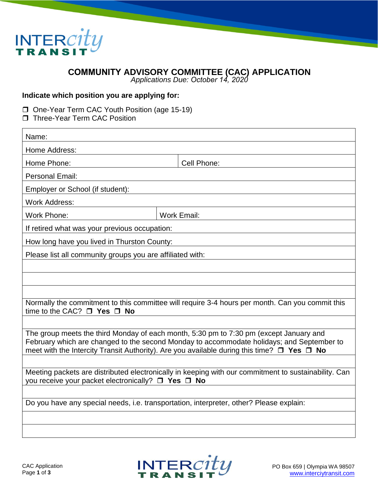

## **COMMUNITY ADVISORY COMMITTEE (CAC) APPLICATION**

*Applications Due: October 14, 2020*

## **Indicate which position you are applying for:**

- One-Year Term CAC Youth Position (age 15-19)
- □ Three-Year Term CAC Position

| Name:                                                                                                                                                                                                                                                                             |  |                    |
|-----------------------------------------------------------------------------------------------------------------------------------------------------------------------------------------------------------------------------------------------------------------------------------|--|--------------------|
| Home Address:                                                                                                                                                                                                                                                                     |  |                    |
| Home Phone:                                                                                                                                                                                                                                                                       |  | Cell Phone:        |
| Personal Email:                                                                                                                                                                                                                                                                   |  |                    |
| Employer or School (if student):                                                                                                                                                                                                                                                  |  |                    |
| <b>Work Address:</b>                                                                                                                                                                                                                                                              |  |                    |
| <b>Work Phone:</b>                                                                                                                                                                                                                                                                |  | <b>Work Email:</b> |
| If retired what was your previous occupation:                                                                                                                                                                                                                                     |  |                    |
| How long have you lived in Thurston County:                                                                                                                                                                                                                                       |  |                    |
| Please list all community groups you are affiliated with:                                                                                                                                                                                                                         |  |                    |
|                                                                                                                                                                                                                                                                                   |  |                    |
|                                                                                                                                                                                                                                                                                   |  |                    |
|                                                                                                                                                                                                                                                                                   |  |                    |
| Normally the commitment to this committee will require 3-4 hours per month. Can you commit this<br>time to the CAC? □ Yes □ No                                                                                                                                                    |  |                    |
|                                                                                                                                                                                                                                                                                   |  |                    |
| The group meets the third Monday of each month, 5:30 pm to 7:30 pm (except January and<br>February which are changed to the second Monday to accommodate holidays; and September to<br>meet with the Intercity Transit Authority). Are you available during this time? □ Yes □ No |  |                    |
|                                                                                                                                                                                                                                                                                   |  |                    |
| Meeting packets are distributed electronically in keeping with our commitment to sustainability. Can<br>you receive your packet electronically? $\Box$ Yes $\Box$ No                                                                                                              |  |                    |
|                                                                                                                                                                                                                                                                                   |  |                    |
| Do you have any special needs, i.e. transportation, interpreter, other? Please explain:                                                                                                                                                                                           |  |                    |
|                                                                                                                                                                                                                                                                                   |  |                    |
|                                                                                                                                                                                                                                                                                   |  |                    |

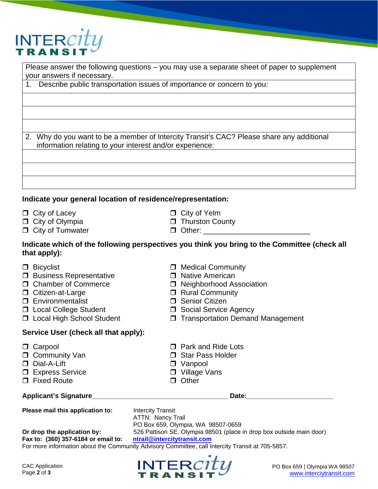

Please answer the following questions – you may use a separate sheet of paper to supplement your answers if necessary.

1. Describe public transportation issues of importance or concern to you:

2. Why do you want to be a member of Intercity Transit's CAC? Please share any additional information relating to your interest and/or experience:

## **Indicate your general location of residence/representation:**

- □ City of Lacey □ City of Yelm
- 
- $\Box$  City of Tumwater  $\Box$  Other:  $\Box$
- 
- □ City of Olympia **D** Thurston County
	-

## **Indicate which of the following perspectives you think you bring to the Committee (check all that apply):**

- $\Box$  Bicyclist  $\Box$  Medical Community
- $\Box$  Business Representative  $\Box$  Native American
- 
- 
- 
- 
- 
- **Service User (check all that apply):**
- 
- □ Community Van **Star Pass Holder**
- 
- □ Express Service Village Vans
- D Fixed Route **D** Other
- 

- $\Box$  Chamber of Commerce  $\Box$  Neighborhood Association
- □ Citizen-at-Large Rural Community
- □ Environmentalist Senior Citizen
- Local College Student Social Service Agency
- □ Local High School Student □ Transportation Demand Management
- □ Carpool □ Park and Ride Lots
	-
- Dial-A-Lift Vanpool
	-
	-

**Applicant's Signature\_\_\_\_\_\_\_\_\_\_\_\_\_\_\_\_\_\_\_\_\_\_\_\_\_\_\_\_\_\_\_\_\_\_\_\_ Date:\_\_\_\_\_\_\_\_\_\_\_\_\_\_\_\_\_\_\_\_\_\_\_** 

**Please mail this application to:** Intercity Transit ATTN: Nancy Trail PO Box 659, Olympia, WA 98507-0659 **Or drop the application by:** 526 Pattison SE, Olympia 98501 (place in drop box outside main door)<br>Fax to: (360) 357-6184 or email to: ntrail@intercitytransit.com **Fax to: (360) 357-6184 or email to:** 

For more information about the Community Advisory Committee, call Intercity Transit at 705-5857.